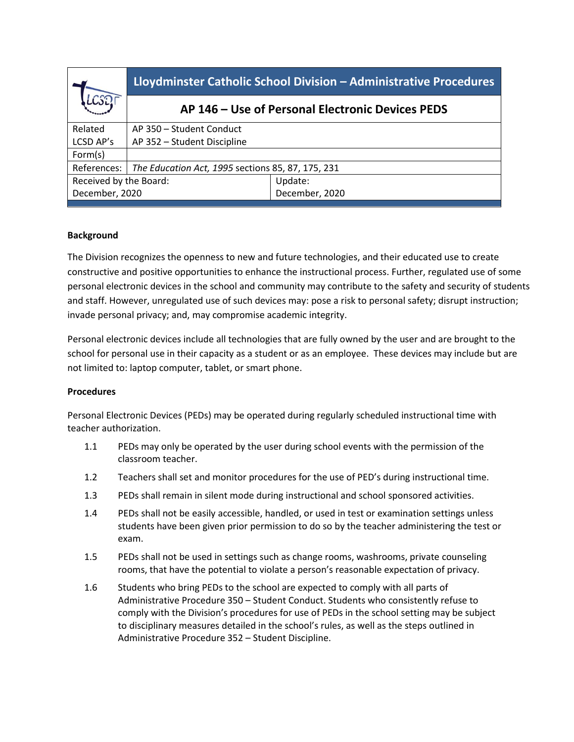|                        | Lloydminster Catholic School Division - Administrative Procedures |                |
|------------------------|-------------------------------------------------------------------|----------------|
|                        | AP 146 – Use of Personal Electronic Devices PEDS                  |                |
| Related                | AP 350 - Student Conduct                                          |                |
| LCSD AP's              | AP 352 - Student Discipline                                       |                |
| Form(s)                |                                                                   |                |
| References:            | The Education Act, 1995 sections 85, 87, 175, 231                 |                |
| Received by the Board: |                                                                   | Update:        |
| December, 2020         |                                                                   | December, 2020 |
|                        |                                                                   |                |

## **Background**

The Division recognizes the openness to new and future technologies, and their educated use to create constructive and positive opportunities to enhance the instructional process. Further, regulated use of some personal electronic devices in the school and community may contribute to the safety and security of students and staff. However, unregulated use of such devices may: pose a risk to personal safety; disrupt instruction; invade personal privacy; and, may compromise academic integrity.

Personal electronic devices include all technologies that are fully owned by the user and are brought to the school for personal use in their capacity as a student or as an employee. These devices may include but are not limited to: laptop computer, tablet, or smart phone.

## **Procedures**

Personal Electronic Devices (PEDs) may be operated during regularly scheduled instructional time with teacher authorization.

- 1.1 PEDs may only be operated by the user during school events with the permission of the classroom teacher.
- 1.2 Teachers shall set and monitor procedures for the use of PED's during instructional time.
- 1.3 PEDs shall remain in silent mode during instructional and school sponsored activities.
- 1.4 PEDs shall not be easily accessible, handled, or used in test or examination settings unless students have been given prior permission to do so by the teacher administering the test or exam.
- 1.5 PEDs shall not be used in settings such as change rooms, washrooms, private counseling rooms, that have the potential to violate a person's reasonable expectation of privacy.
- 1.6 Students who bring PEDs to the school are expected to comply with all parts of Administrative Procedure 350 – Student Conduct. Students who consistently refuse to comply with the Division's procedures for use of PEDs in the school setting may be subject to disciplinary measures detailed in the school's rules, as well as the steps outlined in Administrative Procedure 352 – Student Discipline.